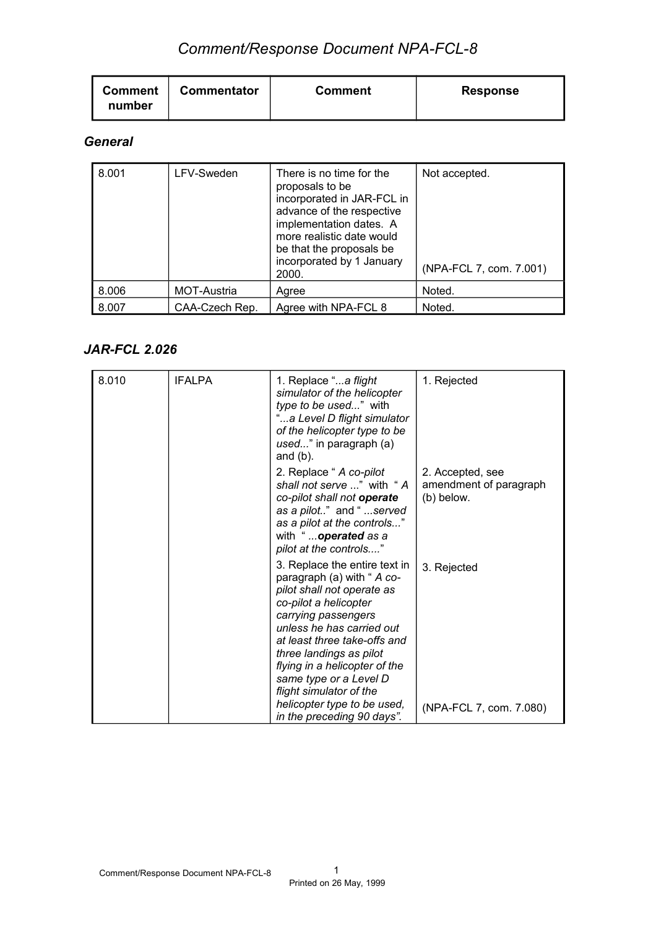| Commentator<br><b>Comment</b><br>number | <b>Comment</b> | <b>Response</b> |
|-----------------------------------------|----------------|-----------------|
|-----------------------------------------|----------------|-----------------|

### *General*

| 8.001 | LFV-Sweden     | There is no time for the<br>proposals to be<br>incorporated in JAR-FCL in<br>advance of the respective<br>implementation dates. A<br>more realistic date would<br>be that the proposals be<br>incorporated by 1 January<br>2000. | Not accepted.<br>(NPA-FCL 7, com. 7.001) |
|-------|----------------|----------------------------------------------------------------------------------------------------------------------------------------------------------------------------------------------------------------------------------|------------------------------------------|
| 8.006 | MOT-Austria    | Agree                                                                                                                                                                                                                            | Noted.                                   |
| 8.007 | CAA-Czech Rep. | Agree with NPA-FCL 8                                                                                                                                                                                                             | Noted.                                   |

### *JAR-FCL 2.026*

| 8.010 | <b>IFALPA</b> | 1. Replace "a flight<br>simulator of the helicopter<br>type to be used" with<br>"a Level D flight simulator<br>of the helicopter type to be<br>used" in paragraph (a)<br>and $(b)$ .                                                                                                                                    | 1. Rejected                                              |
|-------|---------------|-------------------------------------------------------------------------------------------------------------------------------------------------------------------------------------------------------------------------------------------------------------------------------------------------------------------------|----------------------------------------------------------|
|       |               | 2. Replace " A co-pilot<br>shall not serve " with "A<br>co-pilot shall not operate<br>as a pilot" and "served<br>as a pilot at the controls"<br>with "operated as a<br>pilot at the controls"                                                                                                                           | 2. Accepted, see<br>amendment of paragraph<br>(b) below. |
|       |               | 3. Replace the entire text in<br>paragraph (a) with " A co-<br>pilot shall not operate as<br>co-pilot a helicopter<br>carrying passengers<br>unless he has carried out<br>at least three take-offs and<br>three landings as pilot<br>flying in a helicopter of the<br>same type or a Level D<br>flight simulator of the | 3. Rejected                                              |
|       |               | helicopter type to be used,<br>in the preceding 90 days".                                                                                                                                                                                                                                                               | (NPA-FCL 7, com. 7.080)                                  |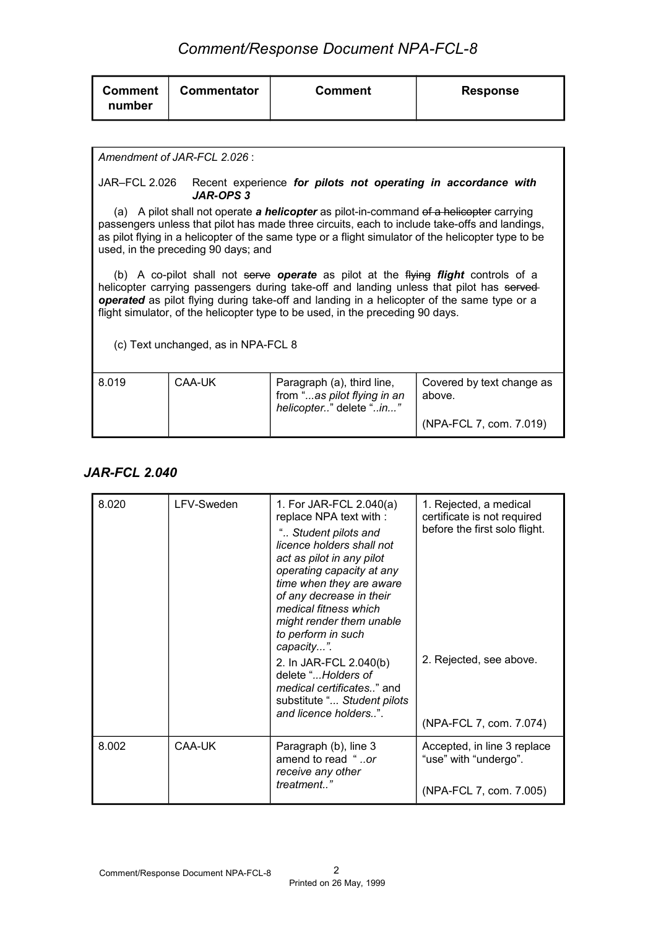| <b>Commentator</b><br><b>Comment</b><br><b>Response</b><br><b>Comment</b><br>number |  |
|-------------------------------------------------------------------------------------|--|
|-------------------------------------------------------------------------------------|--|

#### *Amendment of JAR-FCL 2.026* :

#### JAR–FCL 2.026 Recent experience *for pilots not operating in accordance with JAR-OPS 3*

(a) A pilot shall not operate *a helicopter* as pilot-in-command of a helicopter carrying passengers unless that pilot has made three circuits, each to include take-offs and landings, as pilot flying in a helicopter of the same type or a flight simulator of the helicopter type to be used, in the preceding 90 days; and

(b) A co-pilot shall not serve *operate* as pilot at the flying *flight* controls of a helicopter carrying passengers during take-off and landing unless that pilot has served *operated* as pilot flying during take-off and landing in a helicopter of the same type or a flight simulator, of the helicopter type to be used, in the preceding 90 days.

(c) Text unchanged, as in NPA-FCL 8

| 8.019 | CAA-UK | Paragraph (a), third line,<br>from "as pilot flying in an<br>helicopter" delete "in" | Covered by text change as<br>above. |
|-------|--------|--------------------------------------------------------------------------------------|-------------------------------------|
|       |        |                                                                                      | (NPA-FCL 7, com. 7.019)             |

#### *JAR-FCL 2.040*

| 8.020 | LFV-Sweden | 1. For JAR-FCL 2.040(a)<br>replace NPA text with :<br>" Student pilots and<br>licence holders shall not<br>act as pilot in any pilot<br>operating capacity at any<br>time when they are aware<br>of any decrease in their<br>medical fitness which<br>might render them unable<br>to perform in such<br>capacity".<br>2. In JAR-FCL 2.040(b)<br>delete "Holders of<br>medical certificates" and<br>substitute " Student pilots<br>and licence holders". | 1. Rejected, a medical<br>certificate is not required<br>before the first solo flight.<br>2. Rejected, see above.<br>(NPA-FCL 7, com. 7.074) |
|-------|------------|---------------------------------------------------------------------------------------------------------------------------------------------------------------------------------------------------------------------------------------------------------------------------------------------------------------------------------------------------------------------------------------------------------------------------------------------------------|----------------------------------------------------------------------------------------------------------------------------------------------|
| 8.002 | CAA-UK     | Paragraph (b), line 3<br>amend to read "or<br>receive any other<br>treatment"                                                                                                                                                                                                                                                                                                                                                                           | Accepted, in line 3 replace<br>"use" with "undergo".<br>(NPA-FCL 7, com. 7.005)                                                              |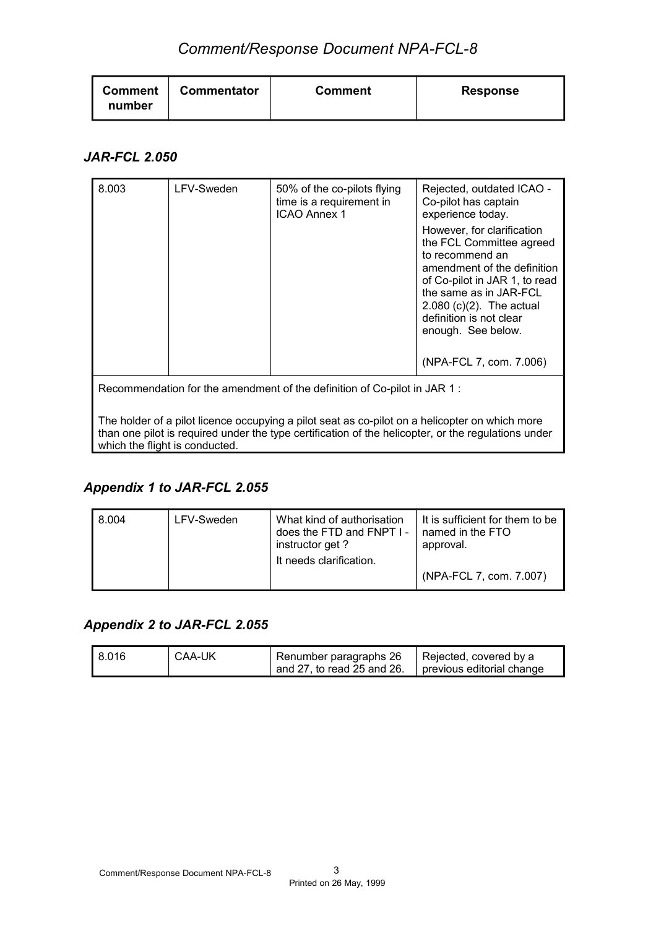| <b>Commentator</b><br><b>Comment</b><br>number | Comment | <b>Response</b> |
|------------------------------------------------|---------|-----------------|
|------------------------------------------------|---------|-----------------|

#### *JAR-FCL 2.050*

| 8.003 | LFV-Sweden | 50% of the co-pilots flying<br>time is a requirement in<br><b>ICAO Annex 1</b>                                                                                             | Rejected, outdated ICAO -<br>Co-pilot has captain<br>experience today.<br>However, for clarification<br>the FCL Committee agreed<br>to recommend an<br>amendment of the definition<br>of Co-pilot in JAR 1, to read<br>the same as in JAR-FCL<br>$2.080$ (c)(2). The actual<br>definition is not clear<br>enough. See below.<br>(NPA-FCL 7, com. 7.006) |
|-------|------------|----------------------------------------------------------------------------------------------------------------------------------------------------------------------------|---------------------------------------------------------------------------------------------------------------------------------------------------------------------------------------------------------------------------------------------------------------------------------------------------------------------------------------------------------|
|       |            | Recommendation for the amendment of the definition of Co-pilot in JAR 1:<br>The holder of a pilot licence occupying a pilot seat as co-pilot on a helicopter on which more |                                                                                                                                                                                                                                                                                                                                                         |
|       |            | than one pilot is required under the type certification of the helicopter, or the regulations under                                                                        |                                                                                                                                                                                                                                                                                                                                                         |

### *Appendix 1 to JAR-FCL 2.055*

which the flight is conducted.

| l 8.004 | LFV-Sweden | What kind of authorisation<br>does the FTD and FNPT I -<br>instructor get?<br>It needs clarification. | It is sufficient for them to be<br>named in the FTO<br>approval. |
|---------|------------|-------------------------------------------------------------------------------------------------------|------------------------------------------------------------------|
|         |            |                                                                                                       | (NPA-FCL 7, com. 7.007)                                          |

## *Appendix 2 to JAR-FCL 2.055*

| 18.016 | CAA-UK | <sup>1</sup> Renumber paragraphs 26<br>$\frac{1}{2}$ and 27, to read 25 and 26. | Rejected, covered by a<br>previous editorial change |
|--------|--------|---------------------------------------------------------------------------------|-----------------------------------------------------|
|--------|--------|---------------------------------------------------------------------------------|-----------------------------------------------------|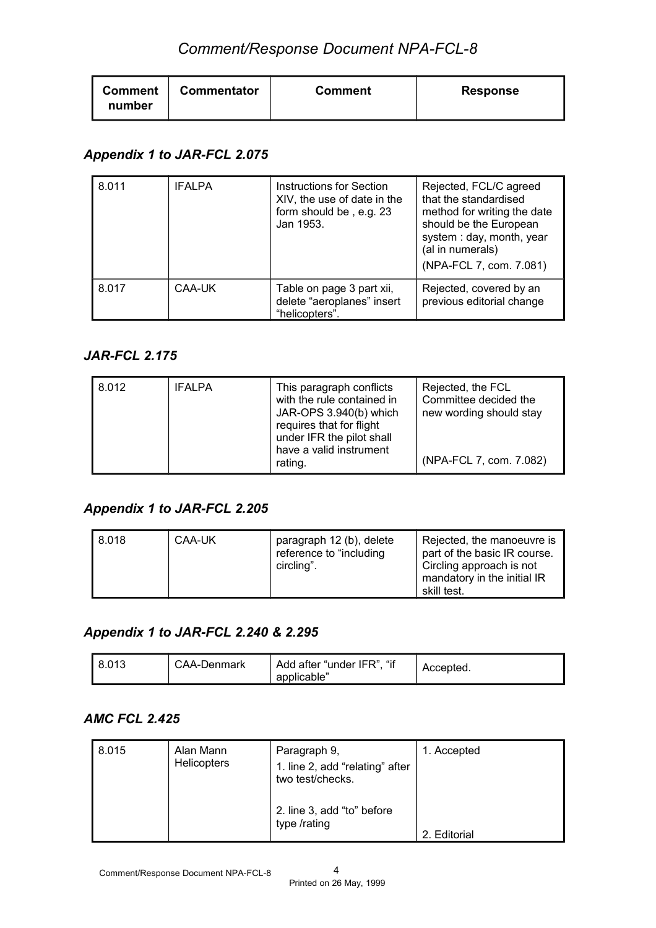| <b>Commentator</b><br><b>Comment</b><br>number | <b>Comment</b> | <b>Response</b> |
|------------------------------------------------|----------------|-----------------|
|------------------------------------------------|----------------|-----------------|

## *Appendix 1 to JAR-FCL 2.075*

| 8.011 | <b>IFALPA</b> | <b>Instructions for Section</b><br>XIV, the use of date in the<br>form should be, e.g. 23<br>Jan 1953. | Rejected, FCL/C agreed<br>that the standardised<br>method for writing the date<br>should be the European<br>system: day, month, year<br>(al in numerals)<br>(NPA-FCL 7, com. 7.081) |
|-------|---------------|--------------------------------------------------------------------------------------------------------|-------------------------------------------------------------------------------------------------------------------------------------------------------------------------------------|
| 8.017 | CAA-UK        | Table on page 3 part xii,<br>delete "aeroplanes" insert<br>"helicopters".                              | Rejected, covered by an<br>previous editorial change                                                                                                                                |

### *JAR-FCL 2.175*

| 8.012<br><b>IFALPA</b> | This paragraph conflicts<br>with the rule contained in<br>JAR-OPS 3.940(b) which<br>requires that for flight<br>under IFR the pilot shall<br>have a valid instrument<br>rating. | Rejected, the FCL<br>Committee decided the<br>new wording should stay<br>(NPA-FCL 7, com. 7.082) |
|------------------------|---------------------------------------------------------------------------------------------------------------------------------------------------------------------------------|--------------------------------------------------------------------------------------------------|
|------------------------|---------------------------------------------------------------------------------------------------------------------------------------------------------------------------------|--------------------------------------------------------------------------------------------------|

### *Appendix 1 to JAR-FCL 2.205*

| 8.018 | CAA-UK | paragraph 12 (b), delete<br>reference to "including"<br>circling". | Rejected, the manoeuvre is<br>part of the basic IR course.<br>Circling approach is not<br>mandatory in the initial IR<br>skill test. |
|-------|--------|--------------------------------------------------------------------|--------------------------------------------------------------------------------------------------------------------------------------|
|-------|--------|--------------------------------------------------------------------|--------------------------------------------------------------------------------------------------------------------------------------|

### *Appendix 1 to JAR-FCL 2.240 & 2.295*

| "if<br>Add after "under IFR",<br>8.013<br>CAA-Denmark<br>applicable" | Accepted. |
|----------------------------------------------------------------------|-----------|
|----------------------------------------------------------------------|-----------|

### *AMC FCL 2.425*

| 8.015 | Alan Mann<br><b>Helicopters</b> | Paragraph 9,<br>1. line 2, add "relating" after<br>two test/checks. | 1. Accepted |
|-------|---------------------------------|---------------------------------------------------------------------|-------------|
|       |                                 | 2. line 3, add "to" before<br>type /rating                          | Editorial   |